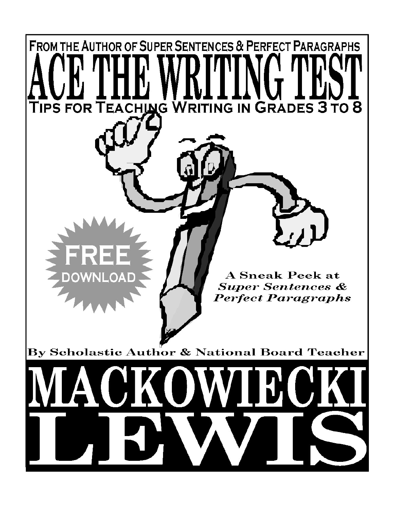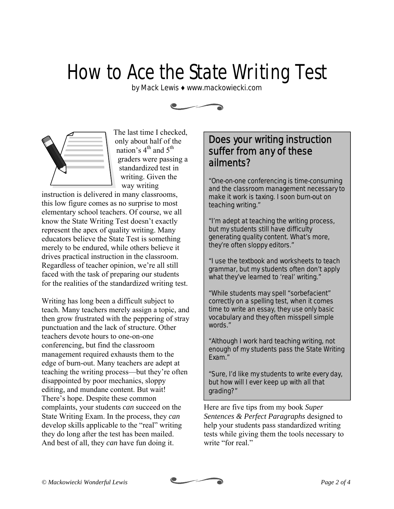# How to Ace the State Writing Test

by Mack Lewis ♦ www.mackowiecki.com



The last time I checked, only about half of the nation's  $4^{\text{th}}$  and  $5^{\text{th}}$ graders were passing a standardized test in writing. Given the way writing

instruction is delivered in many classrooms, this low figure comes as no surprise to most elementary school teachers. Of course, we all know the State Writing Test doesn't exactly represent the apex of quality writing. Many educators believe the State Test is something merely to be endured, while others believe it drives practical instruction in the classroom. Regardless of teacher opinion, we're all still faced with the task of preparing our students for the realities of the standardized writing test.

Writing has long been a difficult subject to teach. Many teachers merely assign a topic, and then grow frustrated with the peppering of stray punctuation and the lack of structure. Other teachers devote hours to one-on-one conferencing, but find the classroom management required exhausts them to the edge of burn-out. Many teachers are adept at teaching the writing process—but they're often disappointed by poor mechanics, sloppy editing, and mundane content. But wait! There's hope. Despite these common complaints, your students *can* succeed on the State Writing Exam. In the process, they *can* develop skills applicable to the "real" writing they do long after the test has been mailed. And best of all, they *can* have fun doing it.

## Does your writing instruction suffer from any of these ailments?

"One-on-one conferencing is time-consuming and the classroom management necessary to make it work is taxing. I soon burn-out on teaching writing."

"I'm adept at teaching the writing process, but my students still have difficulty generating quality content. What's more, they're often sloppy editors."

"I use the textbook and worksheets to teach grammar, but my students often don't apply what they've learned to 'real' writing."

"While students may spell "sorbefacient" correctly on a spelling test, when it comes time to write an essay, they use only basic vocabulary and they often misspell simple words."

"Although I work hard teaching writing, not enough of my students pass the State Writing Exam."

"Sure, I'd like my students to write every day, but how will I ever keep up with all that grading?"

Here are five tips from my book *Super Sentences & Perfect Paragraphs* designed to help your students pass standardized writing tests while giving them the tools necessary to write "for real."

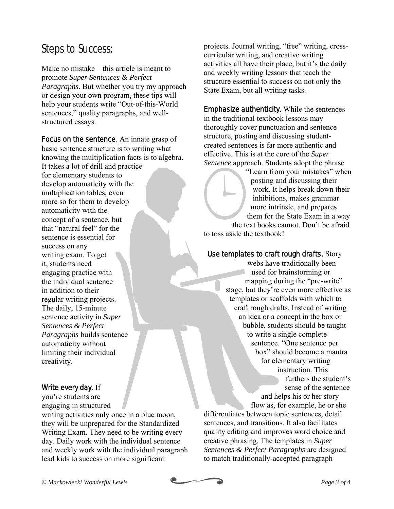## Steps to Success:

Make no mistake—this article is meant to promote *Super Sentences & Perfect Paragraphs.* But whether you try my approach or design your own program, these tips will help your students write "Out-of-this-World sentences," quality paragraphs, and wellstructured essays.

Focus on the sentence. An innate grasp of basic sentence structure is to writing what knowing the multiplication facts is to algebra. It takes a lot of drill and practice for elementary students to develop automaticity with the multiplication tables, even more so for them to develop automaticity with the concept of a sentence, but that "natural feel" for the sentence is essential for success on any writing exam. To get it, students need engaging practice with the individual sentence in addition to their regular writing projects. The daily, 15-minute sentence activity in *Super Sentences & Perfect Paragraphs* builds sentence automaticity without limiting their individual creativity.

### Write every day. If

you're students are engaging in structured writing activities only once in a blue moon, they will be unprepared for the Standardized Writing Exam. They need to be writing every day. Daily work with the individual sentence and weekly work with the individual paragraph lead kids to success on more significant

projects. Journal writing, "free" writing, crosscurricular writing, and creative writing activities all have their place, but it's the daily and weekly writing lessons that teach the structure essential to success on not only the State Exam, but all writing tasks.

Emphasize authenticity. While the sentences in the traditional textbook lessons may thoroughly cover punctuation and sentence structure, posting and discussing studentcreated sentences is far more authentic and effective. This is at the core of the *Super Sentence* approach. Students adopt the phrase

"Learn from your mistakes" when posting and discussing their work. It helps break down their inhibitions, makes grammar more intrinsic, and prepares them for the State Exam in a way the text books cannot. Don't be afraid

to toss aside the textbook!

#### Use templates to craft rough drafts. Story

webs have traditionally been used for brainstorming or mapping during the "pre-write" stage, but they're even more effective as templates or scaffolds with which to craft rough drafts. Instead of writing an idea or a concept in the box or bubble, students should be taught to write a single complete sentence. "One sentence per box" should become a mantra for elementary writing instruction. This furthers the student's sense of the sentence and helps his or her story

flow as, for example, he or she differentiates between topic sentences, detail sentences, and transitions. It also facilitates quality editing and improves word choice and creative phrasing. The templates in *Super Sentences & Perfect Paragraphs* are designed to match traditionally-accepted paragraph